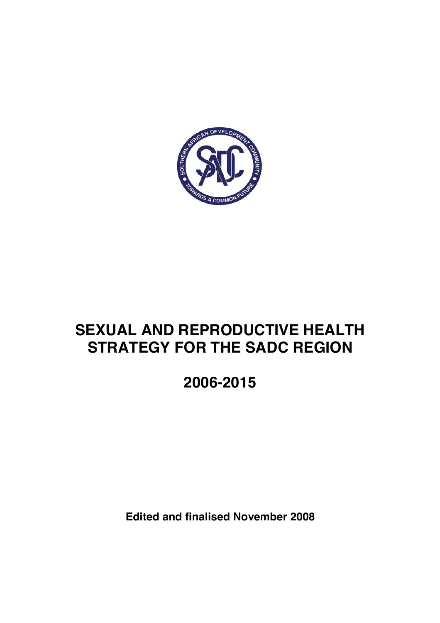

# **SEXUAL AND REPRODUCTIVE HEALTH STRATEGY FOR THE SADC REGION**

**2006-2015** 

**Edited and finalised November 2008**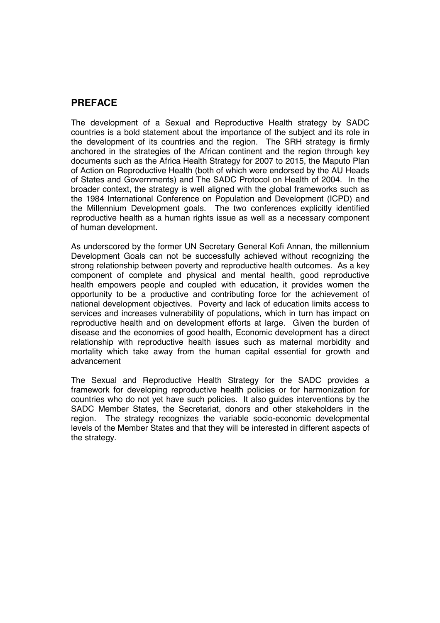## **PREFACE**

The development of a Sexual and Reproductive Health strategy by SADC countries is a bold statement about the importance of the subject and its role in the development of its countries and the region. The SRH strategy is firmly anchored in the strategies of the African continent and the region through key documents such as the Africa Health Strategy for 2007 to 2015, the Maputo Plan of Action on Reproductive Health (both of which were endorsed by the AU Heads of States and Governments) and The SADC Protocol on Health of 2004. In the broader context, the strategy is well aligned with the global frameworks such as the 1984 International Conference on Population and Development (ICPD) and the Millennium Development goals. The two conferences explicitly identified reproductive health as a human rights issue as well as a necessary component of human development.

As underscored by the former UN Secretary General Kofi Annan, the millennium Development Goals can not be successfully achieved without recognizing the strong relationship between poverty and reproductive health outcomes. As a key component of complete and physical and mental health, good reproductive health empowers people and coupled with education, it provides women the opportunity to be a productive and contributing force for the achievement of national development objectives. Poverty and lack of education limits access to services and increases vulnerability of populations, which in turn has impact on reproductive health and on development efforts at large. Given the burden of disease and the economies of good health, Economic development has a direct relationship with reproductive health issues such as maternal morbidity and mortality which take away from the human capital essential for growth and advancement

The Sexual and Reproductive Health Strategy for the SADC provides a framework for developing reproductive health policies or for harmonization for countries who do not yet have such policies. It also guides interventions by the SADC Member States, the Secretariat, donors and other stakeholders in the region. The strategy recognizes the variable socio-economic developmental levels of the Member States and that they will be interested in different aspects of the strategy.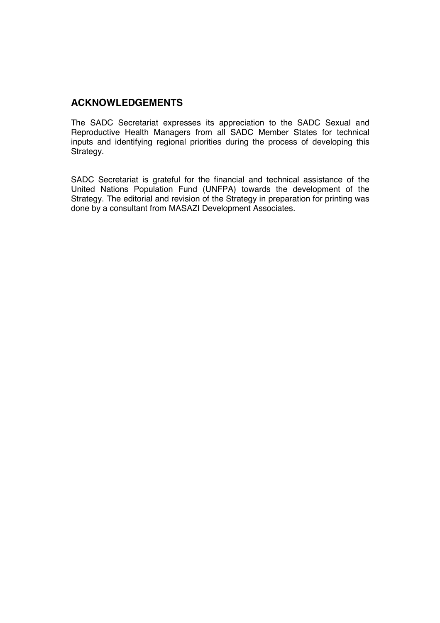### **ACKNOWLEDGEMENTS**

The SADC Secretariat expresses its appreciation to the SADC Sexual and Reproductive Health Managers from all SADC Member States for technical inputs and identifying regional priorities during the process of developing this Strategy.

SADC Secretariat is grateful for the financial and technical assistance of the United Nations Population Fund (UNFPA) towards the development of the Strategy. The editorial and revision of the Strategy in preparation for printing was done by a consultant from MASAZI Development Associates.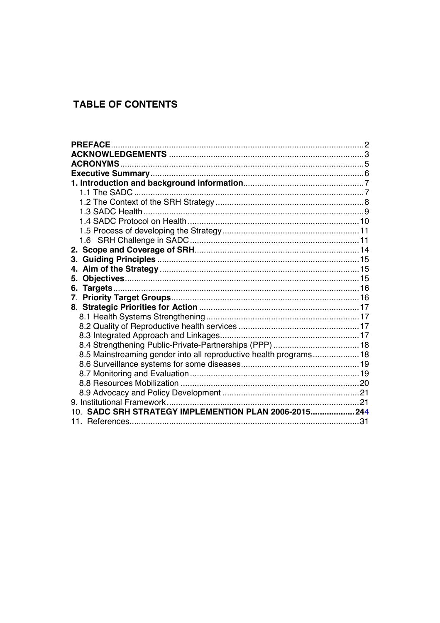## **TABLE OF CONTENTS**

| <b>PREFACE.</b>                                                  |  |
|------------------------------------------------------------------|--|
|                                                                  |  |
|                                                                  |  |
|                                                                  |  |
|                                                                  |  |
|                                                                  |  |
|                                                                  |  |
|                                                                  |  |
|                                                                  |  |
|                                                                  |  |
|                                                                  |  |
|                                                                  |  |
| 3.                                                               |  |
| 4.                                                               |  |
| 5.                                                               |  |
| 6.                                                               |  |
| $7_{\scriptscriptstyle{\sim}}$                                   |  |
|                                                                  |  |
|                                                                  |  |
|                                                                  |  |
|                                                                  |  |
|                                                                  |  |
| 8.5 Mainstreaming gender into all reproductive health programs18 |  |
|                                                                  |  |
|                                                                  |  |
|                                                                  |  |
|                                                                  |  |
|                                                                  |  |
| 10. SADC SRH STRATEGY IMPLEMENTION PLAN 2006-2015 244            |  |
|                                                                  |  |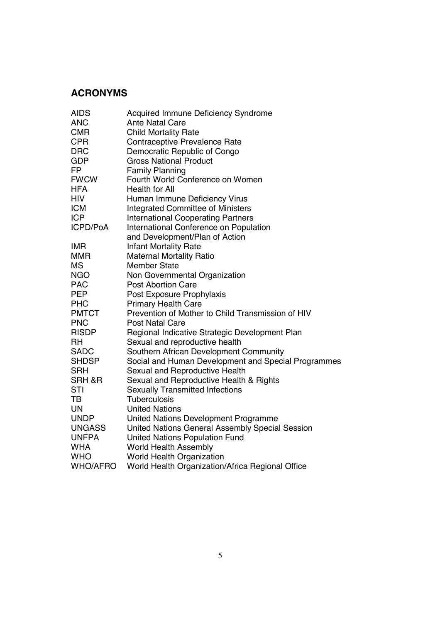## **ACRONYMS**

| <b>AIDS</b>     | <b>Acquired Immune Deficiency Syndrome</b>          |
|-----------------|-----------------------------------------------------|
| <b>ANC</b>      | <b>Ante Natal Care</b>                              |
| <b>CMR</b>      | <b>Child Mortality Rate</b>                         |
| <b>CPR</b>      | Contraceptive Prevalence Rate                       |
| <b>DRC</b>      | Democratic Republic of Congo                        |
| <b>GDP</b>      | <b>Gross National Product</b>                       |
| <b>FP</b>       | <b>Family Planning</b>                              |
| <b>FWCW</b>     | Fourth World Conference on Women                    |
| <b>HFA</b>      | <b>Health for All</b>                               |
| <b>HIV</b>      | Human Immune Deficiency Virus                       |
| <b>ICM</b>      | <b>Integrated Committee of Ministers</b>            |
| <b>ICP</b>      | <b>International Cooperating Partners</b>           |
| ICPD/PoA        | International Conference on Population              |
|                 | and Development/Plan of Action                      |
| <b>IMR</b>      | <b>Infant Mortality Rate</b>                        |
| <b>MMR</b>      | <b>Maternal Mortality Ratio</b>                     |
| <b>MS</b>       | <b>Member State</b>                                 |
| <b>NGO</b>      | Non Governmental Organization                       |
| <b>PAC</b>      | <b>Post Abortion Care</b>                           |
| <b>PEP</b>      | Post Exposure Prophylaxis                           |
| <b>PHC</b>      | <b>Primary Health Care</b>                          |
| <b>PMTCT</b>    | Prevention of Mother to Child Transmission of HIV   |
| <b>PNC</b>      | <b>Post Natal Care</b>                              |
| <b>RISDP</b>    | Regional Indicative Strategic Development Plan      |
| <b>RH</b>       | Sexual and reproductive health                      |
| <b>SADC</b>     | Southern African Development Community              |
| <b>SHDSP</b>    | Social and Human Development and Special Programmes |
| <b>SRH</b>      | Sexual and Reproductive Health                      |
| SRH &R          | Sexual and Reproductive Health & Rights             |
| <b>STI</b>      | <b>Sexually Transmitted Infections</b>              |
| TB              | <b>Tuberculosis</b>                                 |
| <b>UN</b>       | <b>United Nations</b>                               |
| <b>UNDP</b>     | United Nations Development Programme                |
| <b>UNGASS</b>   | United Nations General Assembly Special Session     |
| <b>UNFPA</b>    | <b>United Nations Population Fund</b>               |
| <b>WHA</b>      | <b>World Health Assembly</b>                        |
| <b>WHO</b>      | World Health Organization                           |
| <b>WHO/AFRO</b> | World Health Organization/Africa Regional Office    |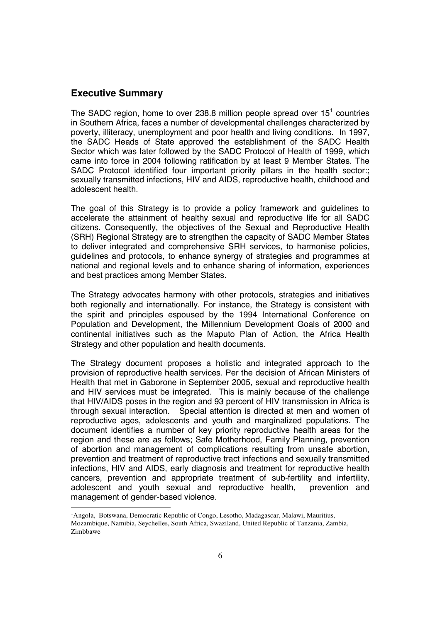#### **Executive Summary**

<sup>-</sup>

The SADC region, home to over 238.8 million people spread over  $15<sup>1</sup>$  countries in Southern Africa, faces a number of developmental challenges characterized by poverty, illiteracy, unemployment and poor health and living conditions. In 1997, the SADC Heads of State approved the establishment of the SADC Health Sector which was later followed by the SADC Protocol of Health of 1999, which came into force in 2004 following ratification by at least 9 Member States. The SADC Protocol identified four important priority pillars in the health sector:; sexually transmitted infections, HIV and AIDS, reproductive health, childhood and adolescent health.

The goal of this Strategy is to provide a policy framework and guidelines to accelerate the attainment of healthy sexual and reproductive life for all SADC citizens. Consequently, the objectives of the Sexual and Reproductive Health (SRH) Regional Strategy are to strengthen the capacity of SADC Member States to deliver integrated and comprehensive SRH services, to harmonise policies, guidelines and protocols, to enhance synergy of strategies and programmes at national and regional levels and to enhance sharing of information, experiences and best practices among Member States.

The Strategy advocates harmony with other protocols, strategies and initiatives both regionally and internationally. For instance, the Strategy is consistent with the spirit and principles espoused by the 1994 International Conference on Population and Development, the Millennium Development Goals of 2000 and continental initiatives such as the Maputo Plan of Action, the Africa Health Strategy and other population and health documents.

The Strategy document proposes a holistic and integrated approach to the provision of reproductive health services. Per the decision of African Ministers of Health that met in Gaborone in September 2005, sexual and reproductive health and HIV services must be integrated. This is mainly because of the challenge that HIV/AIDS poses in the region and 93 percent of HIV transmission in Africa is through sexual interaction. Special attention is directed at men and women of reproductive ages, adolescents and youth and marginalized populations. The document identifies a number of key priority reproductive health areas for the region and these are as follows; Safe Motherhood, Family Planning, prevention of abortion and management of complications resulting from unsafe abortion, prevention and treatment of reproductive tract infections and sexually transmitted infections, HIV and AIDS, early diagnosis and treatment for reproductive health cancers, prevention and appropriate treatment of sub-fertility and infertility, adolescent and youth sexual and reproductive health, prevention and management of gender-based violence.

<sup>&</sup>lt;sup>1</sup>Angola, Botswana, Democratic Republic of Congo, Lesotho, Madagascar, Malawi, Mauritius, Mozambique, Namibia, Seychelles, South Africa, Swaziland, United Republic of Tanzania, Zambia, Zimbbawe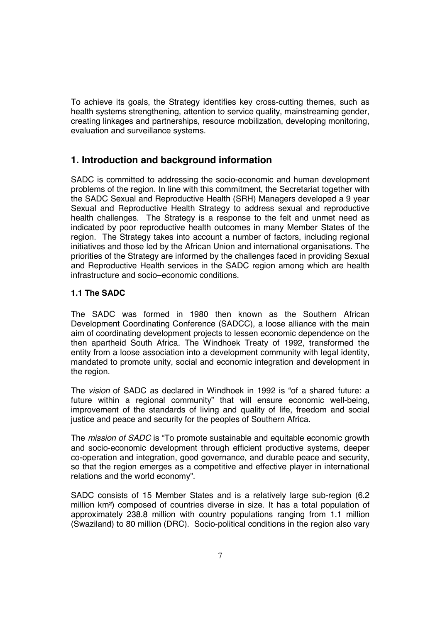To achieve its goals, the Strategy identifies key cross-cutting themes, such as health systems strengthening, attention to service quality, mainstreaming gender, creating linkages and partnerships, resource mobilization, developing monitoring, evaluation and surveillance systems.

### **1. Introduction and background information**

SADC is committed to addressing the socio-economic and human development problems of the region. In line with this commitment, the Secretariat together with the SADC Sexual and Reproductive Health (SRH) Managers developed a 9 year Sexual and Reproductive Health Strategy to address sexual and reproductive health challenges. The Strategy is a response to the felt and unmet need as indicated by poor reproductive health outcomes in many Member States of the region. The Strategy takes into account a number of factors, including regional initiatives and those led by the African Union and international organisations. The priorities of the Strategy are informed by the challenges faced in providing Sexual and Reproductive Health services in the SADC region among which are health infrastructure and socio–economic conditions.

#### **1.1 The SADC**

The SADC was formed in 1980 then known as the Southern African Development Coordinating Conference (SADCC), a loose alliance with the main aim of coordinating development projects to lessen economic dependence on the then apartheid South Africa. The Windhoek Treaty of 1992, transformed the entity from a loose association into a development community with legal identity. mandated to promote unity, social and economic integration and development in the region.

The *vision* of SADC as declared in Windhoek in 1992 is "of a shared future: a future within a regional community" that will ensure economic well-being, improvement of the standards of living and quality of life, freedom and social justice and peace and security for the peoples of Southern Africa.

The *mission of SADC* is "To promote sustainable and equitable economic growth and socio-economic development through efficient productive systems, deeper co-operation and integration, good governance, and durable peace and security, so that the region emerges as a competitive and effective player in international relations and the world economy".

SADC consists of 15 Member States and is a relatively large sub-region (6.2 million km²) composed of countries diverse in size. It has a total population of approximately 238.8 million with country populations ranging from 1.1 million (Swaziland) to 80 million (DRC). Socio-political conditions in the region also vary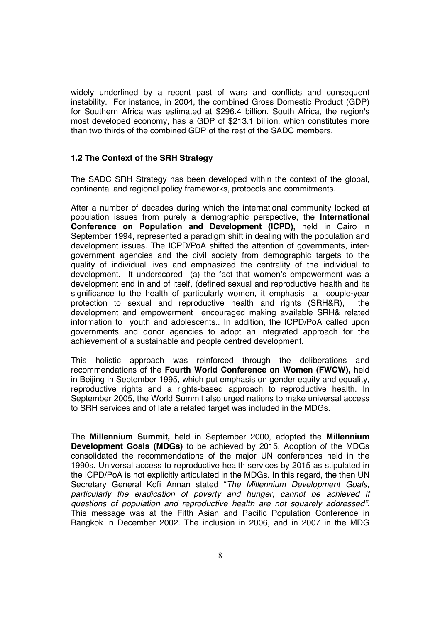widely underlined by a recent past of wars and conflicts and consequent instability. For instance, in 2004, the combined Gross Domestic Product (GDP) for Southern Africa was estimated at \$296.4 billion. South Africa, the region's most developed economy, has a GDP of \$213.1 billion, which constitutes more than two thirds of the combined GDP of the rest of the SADC members.

#### **1.2 The Context of the SRH Strategy**

The SADC SRH Strategy has been developed within the context of the global, continental and regional policy frameworks, protocols and commitments.

After a number of decades during which the international community looked at population issues from purely a demographic perspective, the **International Conference on Population and Development (ICPD),** held in Cairo in September 1994, represented a paradigm shift in dealing with the population and development issues. The ICPD/PoA shifted the attention of governments, intergovernment agencies and the civil society from demographic targets to the quality of individual lives and emphasized the centrality of the individual to development. It underscored (a) the fact that women's empowerment was a development end in and of itself, (defined sexual and reproductive health and its significance to the health of particularly women, it emphasis a couple-year protection to sexual and reproductive health and rights (SRH&R), the development and empowerment encouraged making available SRH& related information to youth and adolescents.. In addition, the ICPD/PoA called upon governments and donor agencies to adopt an integrated approach for the achievement of a sustainable and people centred development.

This holistic approach was reinforced through the deliberations and recommendations of the **Fourth World Conference on Women (FWCW),** held in Beijing in September 1995, which put emphasis on gender equity and equality, reproductive rights and a rights-based approach to reproductive health. In September 2005, the World Summit also urged nations to make universal access to SRH services and of late a related target was included in the MDGs.

The **Millennium Summit,** held in September 2000, adopted the **Millennium Development Goals (MDGs)** to be achieved by 2015. Adoption of the MDGs consolidated the recommendations of the major UN conferences held in the 1990s. Universal access to reproductive health services by 2015 as stipulated in the ICPD/PoA is not explicitly articulated in the MDGs. In this regard, the then UN Secretary General Kofi Annan stated "*The Millennium Development Goals, particularly the eradication of poverty and hunger, cannot be achieved if questions of population and reproductive health are not squarely addressed".* This message was at the Fifth Asian and Pacific Population Conference in Bangkok in December 2002. The inclusion in 2006, and in 2007 in the MDG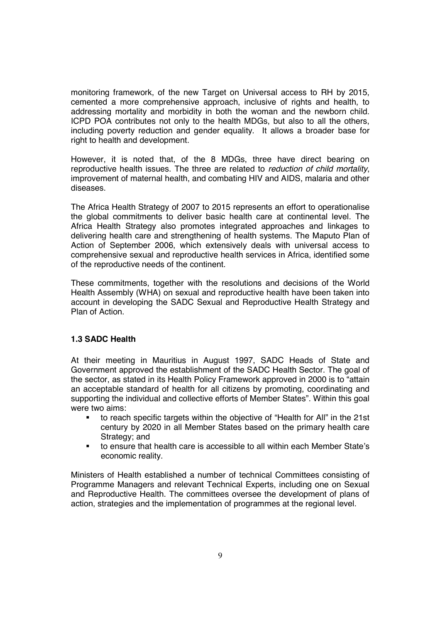monitoring framework, of the new Target on Universal access to RH by 2015, cemented a more comprehensive approach, inclusive of rights and health, to addressing mortality and morbidity in both the woman and the newborn child. ICPD POA contributes not only to the health MDGs, but also to all the others, including poverty reduction and gender equality. It allows a broader base for right to health and development.

However, it is noted that, of the 8 MDGs, three have direct bearing on reproductive health issues. The three are related to *reduction of child mortality*, improvement of maternal health, and combating HIV and AIDS, malaria and other diseases.

The Africa Health Strategy of 2007 to 2015 represents an effort to operationalise the global commitments to deliver basic health care at continental level. The Africa Health Strategy also promotes integrated approaches and linkages to delivering health care and strengthening of health systems. The Maputo Plan of Action of September 2006, which extensively deals with universal access to comprehensive sexual and reproductive health services in Africa, identified some of the reproductive needs of the continent.

These commitments, together with the resolutions and decisions of the World Health Assembly (WHA) on sexual and reproductive health have been taken into account in developing the SADC Sexual and Reproductive Health Strategy and Plan of Action.

#### **1.3 SADC Health**

At their meeting in Mauritius in August 1997, SADC Heads of State and Government approved the establishment of the SADC Health Sector. The goal of the sector, as stated in its Health Policy Framework approved in 2000 is to "attain an acceptable standard of health for all citizens by promoting, coordinating and supporting the individual and collective efforts of Member States". Within this goal were two aims:

- to reach specific targets within the objective of "Health for All" in the 21st century by 2020 in all Member States based on the primary health care Strategy; and
- to ensure that health care is accessible to all within each Member State's economic reality.

Ministers of Health established a number of technical Committees consisting of Programme Managers and relevant Technical Experts, including one on Sexual and Reproductive Health. The committees oversee the development of plans of action, strategies and the implementation of programmes at the regional level.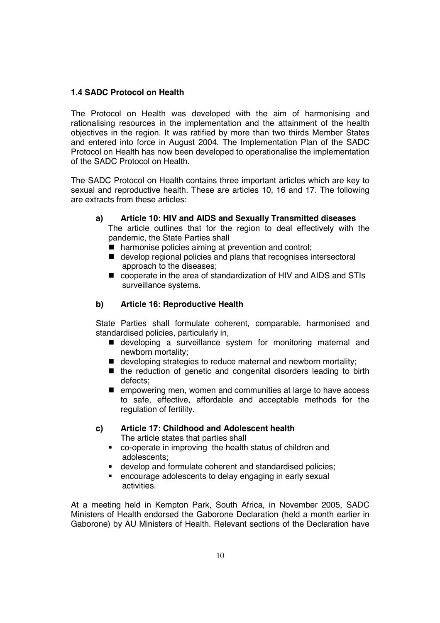#### **1.4 SADC Protocol on Health**

The Protocol on Health was developed with the aim of harmonising and rationalising resources in the implementation and the attainment of the health objectives in the region. It was ratified by more than two thirds Member States and entered into force in August 2004. The Implementation Plan of the SADC Protocol on Health has now been developed to operationalise the implementation of the SADC Protocol on Health.

The SADC Protocol on Health contains three important articles which are key to sexual and reproductive health. These are articles 10, 16 and 17. The following are extracts from these articles:

- **a) Article 10: HIV and AIDS and Sexually Transmitted diseases**  The article outlines that for the region to deal effectively with the pandemic, the State Parties shall
	- harmonise policies aiming at prevention and control;
	- develop regional policies and plans that recognises intersectoral approach to the diseases;
	- cooperate in the area of standardization of HIV and AIDS and STIs surveillance systems.

#### **b) Article 16: Reproductive Health**

State Parties shall formulate coherent, comparable, harmonised and standardised policies, particularly in,

- $\blacksquare$  developing a surveillance system for monitoring maternal and newborn mortality;
- developing strategies to reduce maternal and newborn mortality;
- $\blacksquare$  the reduction of genetic and congenital disorders leading to birth defects;
- **E** empowering men, women and communities at large to have access to safe, effective, affordable and acceptable methods for the regulation of fertility.

#### **c) Article 17: Childhood and Adolescent health**  The article states that parties shall

- co-operate in improving the health status of children and adolescents;
- develop and formulate coherent and standardised policies;
- encourage adolescents to delay engaging in early sexual activities.

At a meeting held in Kempton Park, South Africa, in November 2005, SADC Ministers of Health endorsed the Gaborone Declaration (held a month earlier in Gaborone) by AU Ministers of Health. Relevant sections of the Declaration have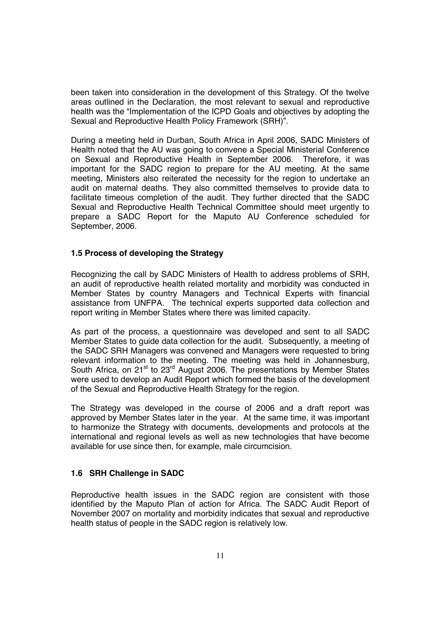been taken into consideration in the development of this Strategy. Of the twelve areas outlined in the Declaration, the most relevant to sexual and reproductive health was the "Implementation of the ICPD Goals and objectives by adopting the Sexual and Reproductive Health Policy Framework (SRH)".

During a meeting held in Durban, South Africa in April 2006, SADC Ministers of Health noted that the AU was going to convene a Special Ministerial Conference on Sexual and Reproductive Health in September 2006. Therefore, it was important for the SADC region to prepare for the AU meeting. At the same meeting, Ministers also reiterated the necessity for the region to undertake an audit on maternal deaths. They also committed themselves to provide data to facilitate timeous completion of the audit. They further directed that the SADC Sexual and Reproductive Health Technical Committee should meet urgently to prepare a SADC Report for the Maputo AU Conference scheduled for September, 2006.

#### **1.5 Process of developing the Strategy**

Recognizing the call by SADC Ministers of Health to address problems of SRH, an audit of reproductive health related mortality and morbidity was conducted in Member States by country Managers and Technical Experts with financial assistance from UNFPA. The technical experts supported data collection and report writing in Member States where there was limited capacity.

As part of the process, a questionnaire was developed and sent to all SADC Member States to guide data collection for the audit. Subsequently, a meeting of the SADC SRH Managers was convened and Managers were requested to bring relevant information to the meeting. The meeting was held in Johannesburg, South Africa, on 21<sup>st</sup> to 23<sup>rd</sup> August 2006. The presentations by Member States were used to develop an Audit Report which formed the basis of the development of the Sexual and Reproductive Health Strategy for the region.

The Strategy was developed in the course of 2006 and a draft report was approved by Member States later in the year. At the same time, it was important to harmonize the Strategy with documents, developments and protocols at the international and regional levels as well as new technologies that have become available for use since then, for example, male circumcision.

#### **1.6 SRH Challenge in SADC**

Reproductive health issues in the SADC region are consistent with those identified by the Maputo Plan of action for Africa. The SADC Audit Report of November 2007 on mortality and morbidity indicates that sexual and reproductive health status of people in the SADC region is relatively low.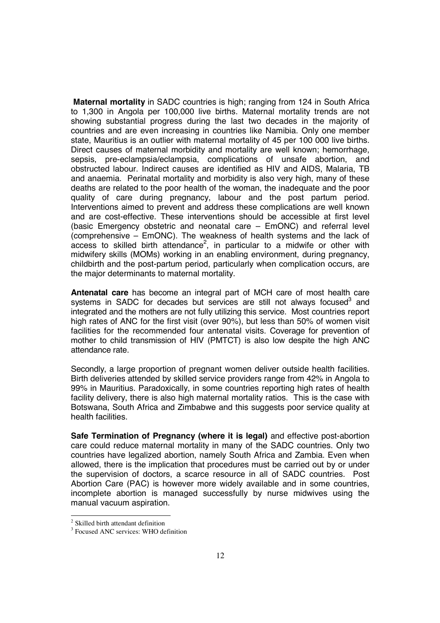**Maternal mortality** in SADC countries is high; ranging from 124 in South Africa to 1,300 in Angola per 100,000 live births. Maternal mortality trends are not showing substantial progress during the last two decades in the majority of countries and are even increasing in countries like Namibia. Only one member state, Mauritius is an outlier with maternal mortality of 45 per 100 000 live births. Direct causes of maternal morbidity and mortality are well known; hemorrhage, sepsis, pre-eclampsia/eclampsia, complications of unsafe abortion, and obstructed labour. Indirect causes are identified as HIV and AIDS, Malaria, TB and anaemia. Perinatal mortality and morbidity is also very high, many of these deaths are related to the poor health of the woman, the inadequate and the poor quality of care during pregnancy, labour and the post partum period. Interventions aimed to prevent and address these complications are well known and are cost-effective. These interventions should be accessible at first level (basic Emergency obstetric and neonatal care – EmONC) and referral level (comprehensive – EmONC). The weakness of health systems and the lack of access to skilled birth attendance<sup>2</sup>, in particular to a midwife or other with midwifery skills (MOMs) working in an enabling environment, during pregnancy, childbirth and the post-partum period, particularly when complication occurs, are the major determinants to maternal mortality.

**Antenatal care** has become an integral part of MCH care of most health care systems in SADC for decades but services are still not always focused $3$  and integrated and the mothers are not fully utilizing this service. Most countries report high rates of ANC for the first visit (over 90%), but less than 50% of women visit facilities for the recommended four antenatal visits. Coverage for prevention of mother to child transmission of HIV (PMTCT) is also low despite the high ANC attendance rate.

Secondly, a large proportion of pregnant women deliver outside health facilities. Birth deliveries attended by skilled service providers range from 42% in Angola to 99% in Mauritius. Paradoxically, in some countries reporting high rates of health facility delivery, there is also high maternal mortality ratios. This is the case with Botswana, South Africa and Zimbabwe and this suggests poor service quality at health facilities.

**Safe Termination of Pregnancy (where it is legal)** and effective post-abortion care could reduce maternal mortality in many of the SADC countries. Only two countries have legalized abortion, namely South Africa and Zambia. Even when allowed, there is the implication that procedures must be carried out by or under the supervision of doctors, a scarce resource in all of SADC countries. Post Abortion Care (PAC) is however more widely available and in some countries, incomplete abortion is managed successfully by nurse midwives using the manual vacuum aspiration.

 2 Skilled birth attendant definition

<sup>&</sup>lt;sup>3</sup> Focused ANC services: WHO definition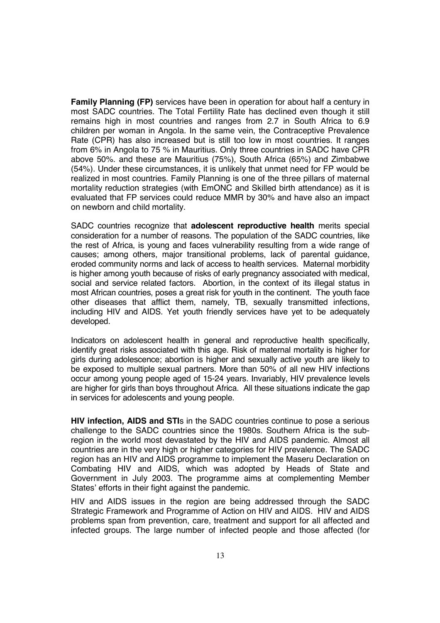**Family Planning (FP)** services have been in operation for about half a century in most SADC countries. The Total Fertility Rate has declined even though it still remains high in most countries and ranges from 2.7 in South Africa to 6.9 children per woman in Angola. In the same vein, the Contraceptive Prevalence Rate (CPR) has also increased but is still too low in most countries. It ranges from 6% in Angola to 75 % in Mauritius. Only three countries in SADC have CPR above 50%. and these are Mauritius (75%), South Africa (65%) and Zimbabwe (54%). Under these circumstances, it is unlikely that unmet need for FP would be realized in most countries. Family Planning is one of the three pillars of maternal mortality reduction strategies (with EmONC and Skilled birth attendance) as it is evaluated that FP services could reduce MMR by 30% and have also an impact on newborn and child mortality.

SADC countries recognize that **adolescent reproductive health** merits special consideration for a number of reasons. The population of the SADC countries, like the rest of Africa, is young and faces vulnerability resulting from a wide range of causes; among others, major transitional problems, lack of parental guidance, eroded community norms and lack of access to health services. Maternal morbidity is higher among youth because of risks of early pregnancy associated with medical, social and service related factors. Abortion, in the context of its illegal status in most African countries, poses a great risk for youth in the continent. The youth face other diseases that afflict them, namely, TB, sexually transmitted infections, including HIV and AIDS. Yet youth friendly services have yet to be adequately developed.

Indicators on adolescent health in general and reproductive health specifically, identify great risks associated with this age. Risk of maternal mortality is higher for girls during adolescence; abortion is higher and sexually active youth are likely to be exposed to multiple sexual partners. More than 50% of all new HIV infections occur among young people aged of 15-24 years. Invariably, HIV prevalence levels are higher for girls than boys throughout Africa. All these situations indicate the gap in services for adolescents and young people.

**HIV infection, AIDS and STI**s in the SADC countries continue to pose a serious challenge to the SADC countries since the 1980s. Southern Africa is the subregion in the world most devastated by the HIV and AIDS pandemic. Almost all countries are in the very high or higher categories for HIV prevalence. The SADC region has an HIV and AIDS programme to implement the Maseru Declaration on Combating HIV and AIDS, which was adopted by Heads of State and Government in July 2003. The programme aims at complementing Member States' efforts in their fight against the pandemic.

HIV and AIDS issues in the region are being addressed through the SADC Strategic Framework and Programme of Action on HIV and AIDS. HIV and AIDS problems span from prevention, care, treatment and support for all affected and infected groups. The large number of infected people and those affected (for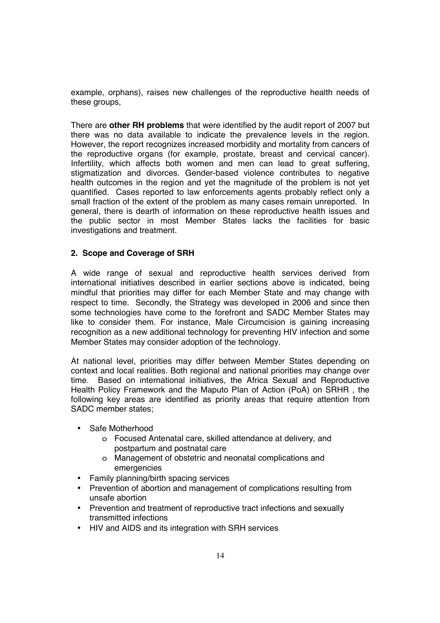example, orphans), raises new challenges of the reproductive health needs of these groups,

There are **other RH problems** that were identified by the audit report of 2007 but there was no data available to indicate the prevalence levels in the region. However, the report recognizes increased morbidity and mortality from cancers of the reproductive organs (for example, prostate, breast and cervical cancer). Infertility, which affects both women and men can lead to great suffering, stigmatization and divorces. Gender-based violence contributes to negative health outcomes in the region and yet the magnitude of the problem is not yet quantified. Cases reported to law enforcements agents probably reflect only a small fraction of the extent of the problem as many cases remain unreported. In general, there is dearth of information on these reproductive health issues and the public sector in most Member States lacks the facilities for basic investigations and treatment.

#### **2. Scope and Coverage of SRH**

A wide range of sexual and reproductive health services derived from international initiatives described in earlier sections above is indicated, being mindful that priorities may differ for each Member State and may change with respect to time. Secondly, the Strategy was developed in 2006 and since then some technologies have come to the forefront and SADC Member States may like to consider them. For instance, Male Circumcision is gaining increasing recognition as a new additional technology for preventing HIV infection and some Member States may consider adoption of the technology.

At national level, priorities may differ between Member States depending on context and local realities. Both regional and national priorities may change over time. Based on international initiatives, the Africa Sexual and Reproductive Health Policy Framework and the Maputo Plan of Action (PoA) on SRHR , the following key areas are identified as priority areas that require attention from SADC member states;

- Safe Motherhood
	- o Focused Antenatal care, skilled attendance at delivery, and postpartum and postnatal care
	- o Management of obstetric and neonatal complications and emergencies
- Family planning/birth spacing services
- Prevention of abortion and management of complications resulting from unsafe abortion
- Prevention and treatment of reproductive tract infections and sexually transmitted infections
- HIV and AIDS and its integration with SRH services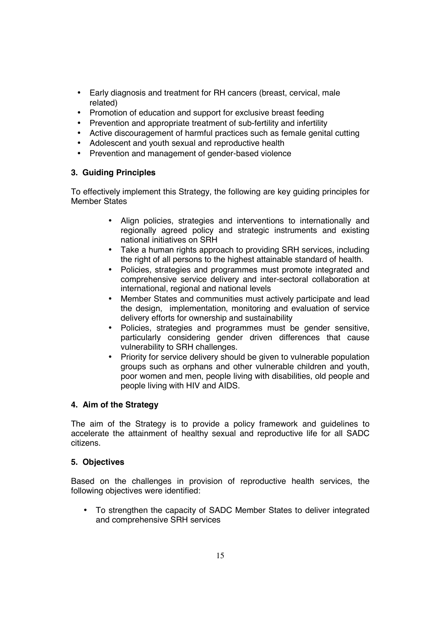- Early diagnosis and treatment for RH cancers (breast, cervical, male related)
- Promotion of education and support for exclusive breast feeding
- Prevention and appropriate treatment of sub-fertility and infertility
- Active discouragement of harmful practices such as female genital cutting
- Adolescent and youth sexual and reproductive health
- Prevention and management of gender-based violence

#### **3. Guiding Principles**

To effectively implement this Strategy, the following are key guiding principles for Member States

- Align policies, strategies and interventions to internationally and regionally agreed policy and strategic instruments and existing national initiatives on SRH
- Take a human rights approach to providing SRH services, including the right of all persons to the highest attainable standard of health.
- Policies, strategies and programmes must promote integrated and comprehensive service delivery and inter-sectoral collaboration at international, regional and national levels
- Member States and communities must actively participate and lead the design, implementation, monitoring and evaluation of service delivery efforts for ownership and sustainability
- Policies, strategies and programmes must be gender sensitive, particularly considering gender driven differences that cause vulnerability to SRH challenges.
- Priority for service delivery should be given to vulnerable population groups such as orphans and other vulnerable children and youth, poor women and men, people living with disabilities, old people and people living with HIV and AIDS.

#### **4. Aim of the Strategy**

The aim of the Strategy is to provide a policy framework and guidelines to accelerate the attainment of healthy sexual and reproductive life for all SADC citizens.

#### **5. Objectives**

Based on the challenges in provision of reproductive health services, the following objectives were identified:

• To strengthen the capacity of SADC Member States to deliver integrated and comprehensive SRH services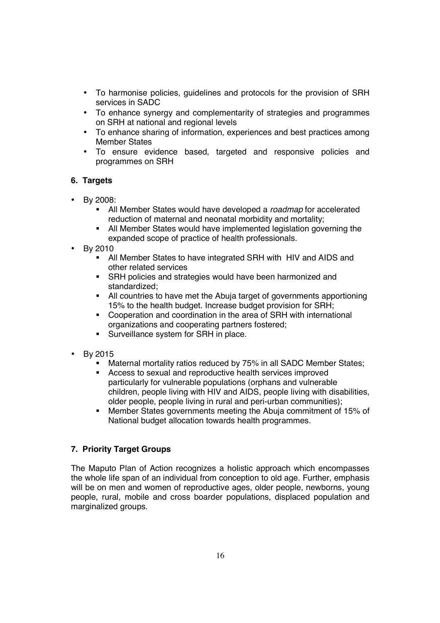- To harmonise policies, guidelines and protocols for the provision of SRH services in SADC
- To enhance synergy and complementarity of strategies and programmes on SRH at national and regional levels
- To enhance sharing of information, experiences and best practices among Member States
- To ensure evidence based, targeted and responsive policies and programmes on SRH

#### **6. Targets**

- By 2008:
	- All Member States would have developed a *roadmap* for accelerated reduction of maternal and neonatal morbidity and mortality;
	- All Member States would have implemented legislation governing the expanded scope of practice of health professionals.
- By 2010
	- All Member States to have integrated SRH with HIV and AIDS and other related services
	- SRH policies and strategies would have been harmonized and standardized;
	- All countries to have met the Abuja target of governments apportioning 15% to the health budget. Increase budget provision for SRH;
	- Cooperation and coordination in the area of SRH with international organizations and cooperating partners fostered;
	- **Surveillance system for SRH in place.**
- By 2015
	- Maternal mortality ratios reduced by 75% in all SADC Member States;
	- Access to sexual and reproductive health services improved particularly for vulnerable populations (orphans and vulnerable children, people living with HIV and AIDS, people living with disabilities, older people, people living in rural and peri-urban communities);
	- Member States governments meeting the Abuja commitment of 15% of National budget allocation towards health programmes.

#### **7. Priority Target Groups**

The Maputo Plan of Action recognizes a holistic approach which encompasses the whole life span of an individual from conception to old age. Further, emphasis will be on men and women of reproductive ages, older people, newborns, young people, rural, mobile and cross boarder populations, displaced population and marginalized groups.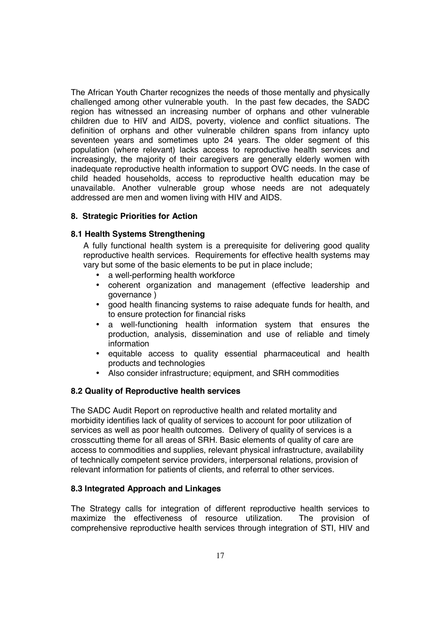The African Youth Charter recognizes the needs of those mentally and physically challenged among other vulnerable youth. In the past few decades, the SADC region has witnessed an increasing number of orphans and other vulnerable children due to HIV and AIDS, poverty, violence and conflict situations. The definition of orphans and other vulnerable children spans from infancy upto seventeen years and sometimes upto 24 years. The older segment of this population (where relevant) lacks access to reproductive health services and increasingly, the majority of their caregivers are generally elderly women with inadequate reproductive health information to support OVC needs. In the case of child headed households, access to reproductive health education may be unavailable. Another vulnerable group whose needs are not adequately addressed are men and women living with HIV and AIDS.

#### **8. Strategic Priorities for Action**

#### **8.1 Health Systems Strengthening**

A fully functional health system is a prerequisite for delivering good quality reproductive health services. Requirements for effective health systems may vary but some of the basic elements to be put in place include;

- a well-performing health workforce
- coherent organization and management (effective leadership and governance )
- good health financing systems to raise adequate funds for health, and to ensure protection for financial risks
- a well-functioning health information system that ensures the production, analysis, dissemination and use of reliable and timely information
- equitable access to quality essential pharmaceutical and health products and technologies
- Also consider infrastructure; equipment, and SRH commodities

#### **8.2 Quality of Reproductive health services**

The SADC Audit Report on reproductive health and related mortality and morbidity identifies lack of quality of services to account for poor utilization of services as well as poor health outcomes. Delivery of quality of services is a crosscutting theme for all areas of SRH. Basic elements of quality of care are access to commodities and supplies, relevant physical infrastructure, availability of technically competent service providers, interpersonal relations, provision of relevant information for patients of clients, and referral to other services.

#### **8.3 Integrated Approach and Linkages**

The Strategy calls for integration of different reproductive health services to maximize the effectiveness of resource utilization. The provision of comprehensive reproductive health services through integration of STI, HIV and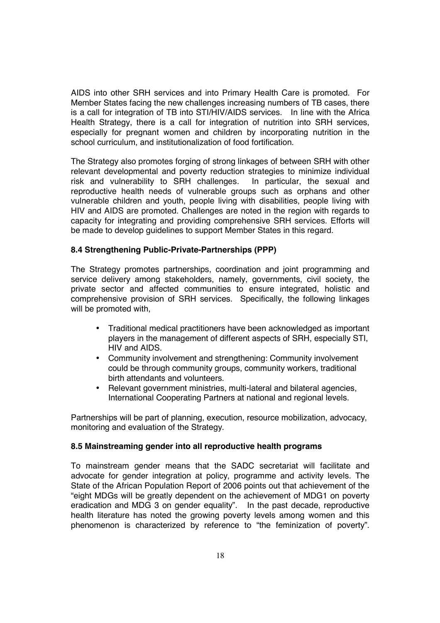AIDS into other SRH services and into Primary Health Care is promoted. For Member States facing the new challenges increasing numbers of TB cases, there is a call for integration of TB into STI/HIV/AIDS services. In line with the Africa Health Strategy, there is a call for integration of nutrition into SRH services, especially for pregnant women and children by incorporating nutrition in the school curriculum, and institutionalization of food fortification.

The Strategy also promotes forging of strong linkages of between SRH with other relevant developmental and poverty reduction strategies to minimize individual risk and vulnerability to SRH challenges. In particular, the sexual and reproductive health needs of vulnerable groups such as orphans and other vulnerable children and youth, people living with disabilities, people living with HIV and AIDS are promoted. Challenges are noted in the region with regards to capacity for integrating and providing comprehensive SRH services. Efforts will be made to develop guidelines to support Member States in this regard.

#### **8.4 Strengthening Public-Private-Partnerships (PPP)**

The Strategy promotes partnerships, coordination and joint programming and service delivery among stakeholders, namely, governments, civil society, the private sector and affected communities to ensure integrated, holistic and comprehensive provision of SRH services. Specifically, the following linkages will be promoted with,

- Traditional medical practitioners have been acknowledged as important players in the management of different aspects of SRH, especially STI, HIV and AIDS.
- Community involvement and strengthening: Community involvement could be through community groups, community workers, traditional birth attendants and volunteers.
- Relevant government ministries, multi-lateral and bilateral agencies, International Cooperating Partners at national and regional levels.

Partnerships will be part of planning, execution, resource mobilization, advocacy, monitoring and evaluation of the Strategy.

#### **8.5 Mainstreaming gender into all reproductive health programs**

To mainstream gender means that the SADC secretariat will facilitate and advocate for gender integration at policy, programme and activity levels. The State of the African Population Report of 2006 points out that achievement of the "eight MDGs will be greatly dependent on the achievement of MDG1 on poverty eradication and MDG 3 on gender equality". In the past decade, reproductive health literature has noted the growing poverty levels among women and this phenomenon is characterized by reference to "the feminization of poverty".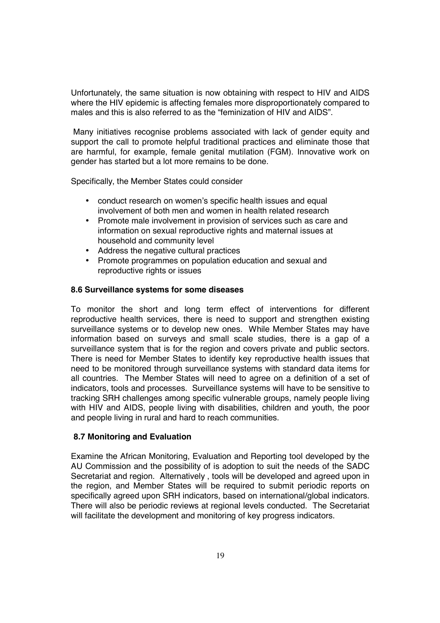Unfortunately, the same situation is now obtaining with respect to HIV and AIDS where the HIV epidemic is affecting females more disproportionately compared to males and this is also referred to as the "feminization of HIV and AIDS".

 Many initiatives recognise problems associated with lack of gender equity and support the call to promote helpful traditional practices and eliminate those that are harmful, for example, female genital mutilation (FGM). Innovative work on gender has started but a lot more remains to be done.

Specifically, the Member States could consider

- conduct research on women's specific health issues and equal involvement of both men and women in health related research
- Promote male involvement in provision of services such as care and information on sexual reproductive rights and maternal issues at household and community level
- Address the negative cultural practices
- Promote programmes on population education and sexual and reproductive rights or issues

#### **8.6 Surveillance systems for some diseases**

To monitor the short and long term effect of interventions for different reproductive health services, there is need to support and strengthen existing surveillance systems or to develop new ones. While Member States may have information based on surveys and small scale studies, there is a gap of a surveillance system that is for the region and covers private and public sectors. There is need for Member States to identify key reproductive health issues that need to be monitored through surveillance systems with standard data items for all countries. The Member States will need to agree on a definition of a set of indicators, tools and processes. Surveillance systems will have to be sensitive to tracking SRH challenges among specific vulnerable groups, namely people living with HIV and AIDS, people living with disabilities, children and youth, the poor and people living in rural and hard to reach communities.

#### **8.7 Monitoring and Evaluation**

Examine the African Monitoring, Evaluation and Reporting tool developed by the AU Commission and the possibility of is adoption to suit the needs of the SADC Secretariat and region. Alternatively , tools will be developed and agreed upon in the region, and Member States will be required to submit periodic reports on specifically agreed upon SRH indicators, based on international/global indicators. There will also be periodic reviews at regional levels conducted. The Secretariat will facilitate the development and monitoring of key progress indicators.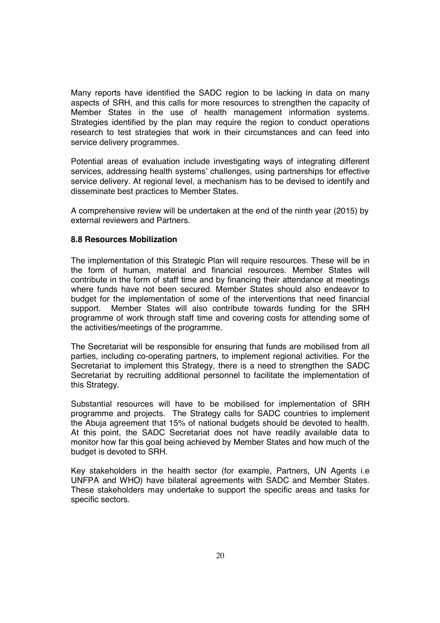Many reports have identified the SADC region to be lacking in data on many aspects of SRH, and this calls for more resources to strengthen the capacity of Member States in the use of health management information systems. Strategies identified by the plan may require the region to conduct operations research to test strategies that work in their circumstances and can feed into service delivery programmes.

Potential areas of evaluation include investigating ways of integrating different services, addressing health systems' challenges, using partnerships for effective service delivery. At regional level, a mechanism has to be devised to identify and disseminate best practices to Member States.

A comprehensive review will be undertaken at the end of the ninth year (2015) by external reviewers and Partners.

#### **8.8 Resources Mobilization**

The implementation of this Strategic Plan will require resources. These will be in the form of human, material and financial resources. Member States will contribute in the form of staff time and by financing their attendance at meetings where funds have not been secured. Member States should also endeavor to budget for the implementation of some of the interventions that need financial support. Member States will also contribute towards funding for the SRH programme of work through staff time and covering costs for attending some of the activities/meetings of the programme.

The Secretariat will be responsible for ensuring that funds are mobilised from all parties, including co-operating partners, to implement regional activities. For the Secretariat to implement this Strategy, there is a need to strengthen the SADC Secretariat by recruiting additional personnel to facilitate the implementation of this Strategy.

Substantial resources will have to be mobilised for implementation of SRH programme and projects. The Strategy calls for SADC countries to implement the Abuja agreement that 15% of national budgets should be devoted to health. At this point, the SADC Secretariat does not have readily available data to monitor how far this goal being achieved by Member States and how much of the budget is devoted to SRH.

Key stakeholders in the health sector (for example, Partners, UN Agents i.e UNFPA and WHO) have bilateral agreements with SADC and Member States. These stakeholders may undertake to support the specific areas and tasks for specific sectors.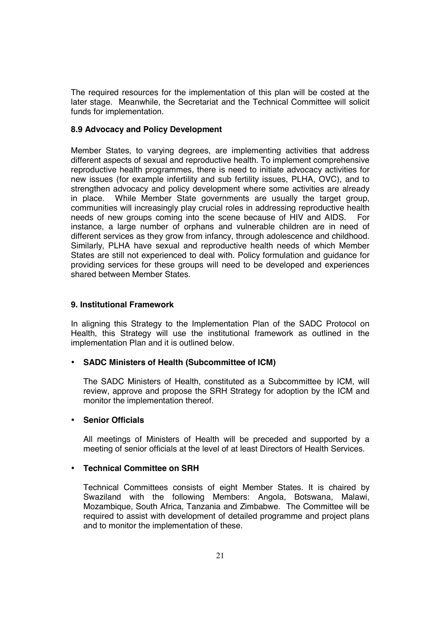The required resources for the implementation of this plan will be costed at the later stage. Meanwhile, the Secretariat and the Technical Committee will solicit funds for implementation.

#### **8.9 Advocacy and Policy Development**

Member States, to varying degrees, are implementing activities that address different aspects of sexual and reproductive health. To implement comprehensive reproductive health programmes, there is need to initiate advocacy activities for new issues (for example infertility and sub fertility issues, PLHA, OVC), and to strengthen advocacy and policy development where some activities are already in place. While Member State governments are usually the target group, communities will increasingly play crucial roles in addressing reproductive health needs of new groups coming into the scene because of HIV and AIDS. For instance, a large number of orphans and vulnerable children are in need of different services as they grow from infancy, through adolescence and childhood. Similarly, PLHA have sexual and reproductive health needs of which Member States are still not experienced to deal with. Policy formulation and guidance for providing services for these groups will need to be developed and experiences shared between Member States.

#### **9. Institutional Framework**

In aligning this Strategy to the Implementation Plan of the SADC Protocol on Health, this Strategy will use the institutional framework as outlined in the implementation Plan and it is outlined below.

#### • **SADC Ministers of Health (Subcommittee of ICM)**

The SADC Ministers of Health, constituted as a Subcommittee by ICM, will review, approve and propose the SRH Strategy for adoption by the ICM and monitor the implementation thereof.

#### • **Senior Officials**

All meetings of Ministers of Health will be preceded and supported by a meeting of senior officials at the level of at least Directors of Health Services.

#### • **Technical Committee on SRH**

Technical Committees consists of eight Member States. It is chaired by Swaziland with the following Members: Angola, Botswana, Malawi, Mozambique, South Africa, Tanzania and Zimbabwe. The Committee will be required to assist with development of detailed programme and project plans and to monitor the implementation of these.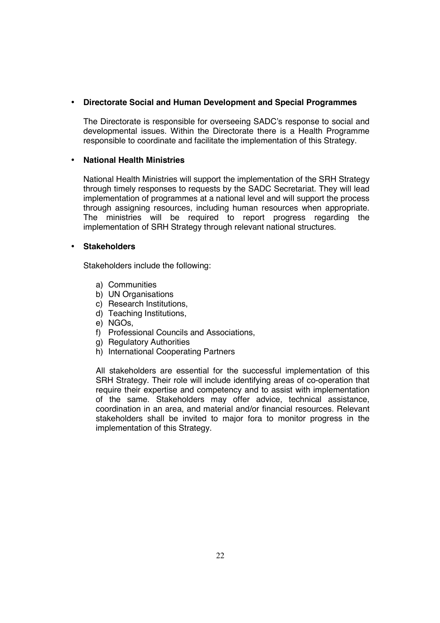#### • **Directorate Social and Human Development and Special Programmes**

The Directorate is responsible for overseeing SADC's response to social and developmental issues. Within the Directorate there is a Health Programme responsible to coordinate and facilitate the implementation of this Strategy.

#### • **National Health Ministries**

National Health Ministries will support the implementation of the SRH Strategy through timely responses to requests by the SADC Secretariat. They will lead implementation of programmes at a national level and will support the process through assigning resources, including human resources when appropriate. The ministries will be required to report progress regarding the implementation of SRH Strategy through relevant national structures.

#### • **Stakeholders**

Stakeholders include the following:

- a) Communities
- b) UN Organisations
- c) Research Institutions,
- d) Teaching Institutions,
- e) NGOs,
- f) Professional Councils and Associations,
- g) Regulatory Authorities
- h) International Cooperating Partners

All stakeholders are essential for the successful implementation of this SRH Strategy. Their role will include identifying areas of co-operation that require their expertise and competency and to assist with implementation of the same. Stakeholders may offer advice, technical assistance, coordination in an area, and material and/or financial resources. Relevant stakeholders shall be invited to major fora to monitor progress in the implementation of this Strategy.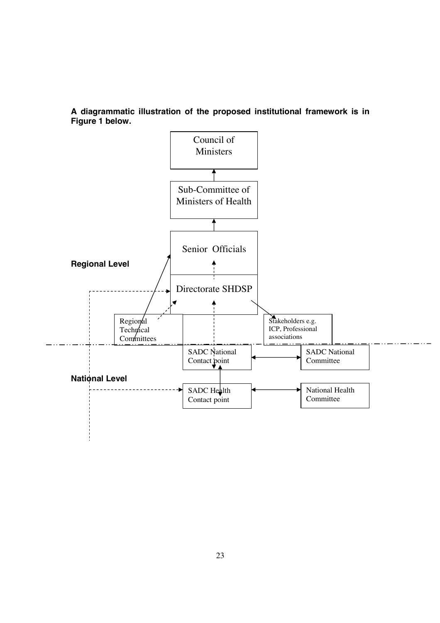**A diagrammatic illustration of the proposed institutional framework is in Figure 1 below.** 

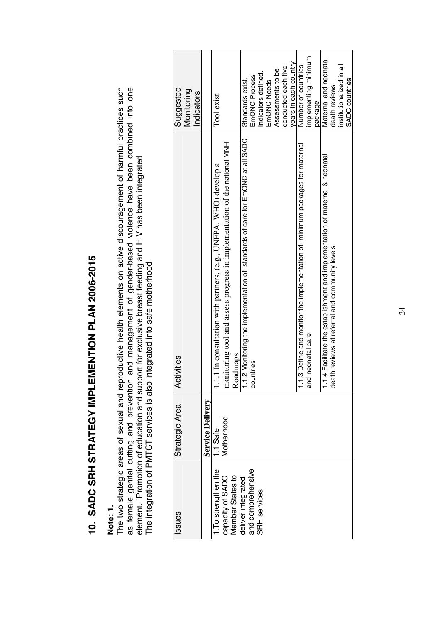| $\frac{1}{2}$ |
|---------------|
|               |
|               |
|               |
|               |
| י<br>ו<br>ا   |
|               |
| l             |
|               |
| $\frac{1}{2}$ |
| I             |
| ֚֘֝֬          |
| י             |
| I<br>I<br>I   |
|               |
| I             |
| Í<br>I        |
| Ĵ<br>Í        |
| 1             |
| ć             |
|               |
| C<br>l        |

## Note: 1. **Note: 1.**

as female genital cutting and prevention and management of gender-based violence have been combined into one<br>element. `Promotion of education and support for exclusive breast feeding and HIV has been integrated<br>The integra The two strategic areas of sexual and reproductive health elements on active discouragement of harmful practices such as female genital cutting and prevention and management of gender-based violence have been combined into one The two strategic areas of sexual and reproductive health elements on active discouragement of harmful practices such element. `Promotion of education and support for exclusive breast feeding and HIV has been integrated The integration of PMTCT services is also integrated into safe motherhood

| Suggested<br>Monitoring<br>Indicators |                  | Tool exist                                                                                                                                                             | Standards exist.                                                               | Indicators defined.<br>EmONC Process | EmONC Needs | Assessments to be | conducted each five | years in each country | Number of countries                                                         | implementing minimum  | package | Maternal and neonatal                                                       | death reviews                                   | institutionalized in all | <b>SADC</b> countries |
|---------------------------------------|------------------|------------------------------------------------------------------------------------------------------------------------------------------------------------------------|--------------------------------------------------------------------------------|--------------------------------------|-------------|-------------------|---------------------|-----------------------|-----------------------------------------------------------------------------|-----------------------|---------|-----------------------------------------------------------------------------|-------------------------------------------------|--------------------------|-----------------------|
| ctivities<br>⋖                        |                  | nonitoring tool and assess progress in implementation of the national MNH<br>1.1 In consultation with partners, (e.g., UNFPA, WHO) develop a<br>Roadmaps<br>112 Monito | 1.1.2 Monitoring the implementation of standards of care for EmONC at all SADC | countries                            |             |                   |                     |                       | .1.3 Define and monitor the implementation of minimum packages for maternal | nd neonatal care<br>ಹ |         | .1.4 Facilitate the establishment and implementation of maternal & neonatal | death reviews at referral and community levels. |                          |                       |
| <b>Strategic Area</b>                 | Service Delivery | 1.1 Safe<br>Motherhood                                                                                                                                                 |                                                                                |                                      |             |                   |                     |                       |                                                                             |                       |         |                                                                             |                                                 |                          |                       |
| ssues                                 |                  | I. To strengthen the<br>capacity of SADC<br>Member States to                                                                                                           | and comprehensive<br>deliver integrated                                        | <b>SRH</b> services                  |             |                   |                     |                       |                                                                             |                       |         |                                                                             |                                                 |                          |                       |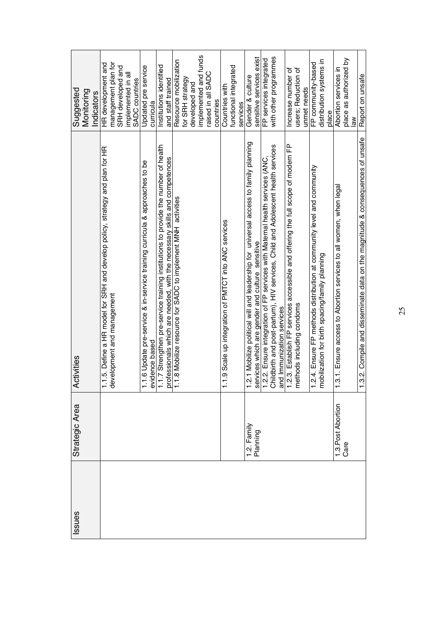| ssues | Strategic Area            | Activities                                                                                                                                                                                                                             | Suggested                |
|-------|---------------------------|----------------------------------------------------------------------------------------------------------------------------------------------------------------------------------------------------------------------------------------|--------------------------|
|       |                           |                                                                                                                                                                                                                                        | Monitoring               |
|       |                           |                                                                                                                                                                                                                                        | ndicators                |
|       |                           |                                                                                                                                                                                                                                        | HR development and       |
|       |                           | 1.1.5. Define a HR model for SRH and develop policy, strategy and plan for HR<br>development and management                                                                                                                            | management plan for      |
|       |                           |                                                                                                                                                                                                                                        | SRH developed and        |
|       |                           |                                                                                                                                                                                                                                        | implemented in all       |
|       |                           |                                                                                                                                                                                                                                        | SADC countries           |
|       |                           | 1.1.6 Update pre-service & in-service training curricula & approaches to be                                                                                                                                                            | Updated pre service      |
|       |                           |                                                                                                                                                                                                                                        | curricula                |
|       |                           |                                                                                                                                                                                                                                        | Institutions identified  |
|       |                           |                                                                                                                                                                                                                                        | and staff trained        |
|       |                           | evidence based<br>1.1.7 Strengthen pre-service training institutions to provide the number of health<br>professionals which are needed, with the necessary skills and competences<br>1.1.8 Mobilize resource for SADC to implement MNH | Resource mobilization    |
|       |                           |                                                                                                                                                                                                                                        | for SRH strategy         |
|       |                           |                                                                                                                                                                                                                                        | developed and            |
|       |                           |                                                                                                                                                                                                                                        | implemented and funds    |
|       |                           |                                                                                                                                                                                                                                        | raised in all SADC       |
|       |                           |                                                                                                                                                                                                                                        | countries                |
|       |                           | 1.1.9 Scale up integration of PMTCT into ANC services                                                                                                                                                                                  | Countries with           |
|       |                           |                                                                                                                                                                                                                                        | functional integrated    |
|       |                           |                                                                                                                                                                                                                                        | services                 |
|       | 1.2. Family               | 1.2.1 Mobilize political will and leadership for universal access to family planning                                                                                                                                                   | Gender & culture         |
|       | Planning                  |                                                                                                                                                                                                                                        | sensitive services exist |
|       |                           |                                                                                                                                                                                                                                        | FP services integrated   |
|       |                           | services which are gender and culture sensitive<br>1.2.2. Ensure integration of FP services with Maternal health services (ANC,<br>Childbirth and post-partum), HIV services, Child and Adolescent health services                     | with other programmes    |
|       |                           |                                                                                                                                                                                                                                        |                          |
|       |                           | and Immunization services<br>1.2.3. Establish FP services accessible and offering the full scope of modern FP<br>methods including condoms                                                                                             | Increase number of       |
|       |                           |                                                                                                                                                                                                                                        | users; Reduction of      |
|       |                           |                                                                                                                                                                                                                                        | unmet needs              |
|       |                           | 1.2.4. Ensure FP methods distribution at community level and community<br>mobilization for birth spacing/family planning                                                                                                               | FP community-based       |
|       |                           |                                                                                                                                                                                                                                        | distribution systems in  |
|       |                           |                                                                                                                                                                                                                                        | place                    |
|       | 1.3.Post Abortion<br>Care | 1.3.1. Ensure access to Abortion services to all women, when legal                                                                                                                                                                     | Abortion services in     |
|       |                           |                                                                                                                                                                                                                                        | place as authorized by   |
|       |                           |                                                                                                                                                                                                                                        | $\frac{8}{3}$            |
|       |                           | 1.3.2. Compile and disseminate data on the magnitude & consequences of unsafe                                                                                                                                                          | Report on unsafe         |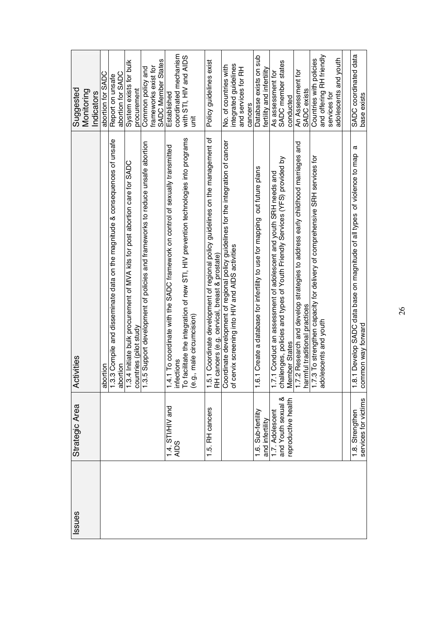| ssues | Strategic Area                          | Activities                                                                                                                                                                                                       | Suggested                                  |
|-------|-----------------------------------------|------------------------------------------------------------------------------------------------------------------------------------------------------------------------------------------------------------------|--------------------------------------------|
|       |                                         |                                                                                                                                                                                                                  | Monitoring                                 |
|       |                                         |                                                                                                                                                                                                                  | Indicators                                 |
|       |                                         |                                                                                                                                                                                                                  | abortion for SADC                          |
|       |                                         | 1.3.3 Compile and disseminate data on the magnitude & consequences of unsafe<br>abortion                                                                                                                         | Report on unsafe                           |
|       |                                         |                                                                                                                                                                                                                  | abortion for SADC                          |
|       |                                         | 1.3.4 Initiate bulk procurement of MVA kits for post abortion care for SADC                                                                                                                                      | System exists for bulk                     |
|       |                                         | countries (pilot study                                                                                                                                                                                           | procurement                                |
|       |                                         | 1.3.5 Support development of policies and frameworks to reduce unsafe abortion                                                                                                                                   | Common policy and                          |
|       |                                         |                                                                                                                                                                                                                  | SADC Member States<br>frameworks exist for |
|       |                                         |                                                                                                                                                                                                                  | Established                                |
|       | 1.4. STI/HIV and<br>AIDS                |                                                                                                                                                                                                                  | coordinated mechanism                      |
|       |                                         | 1.4.1 To coordinate with the SADC framework on control of sexually transmitted<br>infections<br>To facilitate the integration of new STI, HIV prevention technologies into programs<br>(e.g., male circumcision) | with STI, HIV and AIDS                     |
|       |                                         |                                                                                                                                                                                                                  | ist                                        |
|       | 1.5. RH cancers                         | 1.5.1 Coordinate development of regional policy guidelines on the management of<br>RH cancers (e.g. cervical, breast & prostate)                                                                                 | Policy guidelines exist                    |
|       |                                         |                                                                                                                                                                                                                  | No. of countries with                      |
|       |                                         | Coordinate development of regional policy guidelines for the integration of cancer<br>of cervix screening into HIV and AIDS activities                                                                           | integrated guidelines                      |
|       |                                         |                                                                                                                                                                                                                  | and services for RH                        |
|       |                                         |                                                                                                                                                                                                                  | cancers                                    |
|       | 1.6. Sub-fertility                      | 1.6.1 Create a database for infertility to use for mapping out future plans                                                                                                                                      | Database exists on sub                     |
|       | and infertility                         |                                                                                                                                                                                                                  | fertility and infertility                  |
|       | 1.7. Adolescent                         | 1.7.1 Conduct an assessment of adolescent and youth SRH needs and                                                                                                                                                | As assessment for                          |
|       | and Youth sexual &                      | challenges, policies and types of Youth Friendly Services (YFS) provided by                                                                                                                                      | SADC member states                         |
|       | reproductive health                     | Member States                                                                                                                                                                                                    | conducted                                  |
|       |                                         | 1.7.2 Research and develop strategies to address early childhood marriages and                                                                                                                                   | An Assessment for                          |
|       |                                         | harmful traditional practices                                                                                                                                                                                    | <b>SADC</b> exists                         |
|       |                                         | 1.7.3 To strengthen capacity for delivery of comprehensive SRH services for                                                                                                                                      | Countries with policies                    |
|       |                                         | lolescents and youth<br>ಇ                                                                                                                                                                                        | and offering RH friendly                   |
|       |                                         |                                                                                                                                                                                                                  | services for                               |
|       |                                         |                                                                                                                                                                                                                  | adolescents and youth                      |
|       |                                         |                                                                                                                                                                                                                  |                                            |
|       | services for victims<br>1.8. Strengthen | a<br>1.8.1 Develop SADC data base on magnitude of all types of violence to map<br>common way forward                                                                                                             | SADC coordinated data<br>base exists       |
|       |                                         |                                                                                                                                                                                                                  |                                            |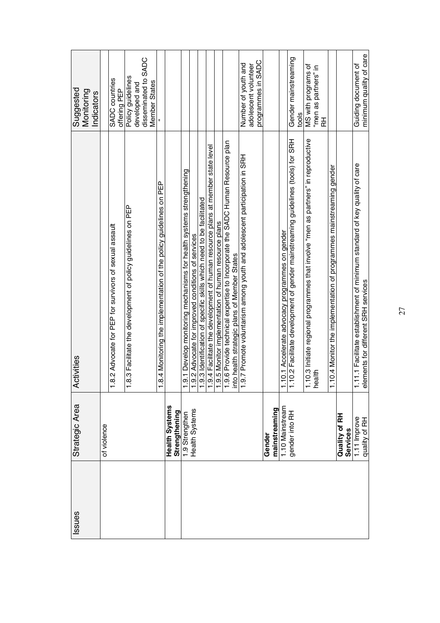| Issues | Strategic Area                  | ctivities<br>₹                                                                                                                                                                                             | Suggested<br>Monitoring<br>Indicators |
|--------|---------------------------------|------------------------------------------------------------------------------------------------------------------------------------------------------------------------------------------------------------|---------------------------------------|
|        | of violence                     |                                                                                                                                                                                                            |                                       |
|        |                                 | 1.8.2 Advocate for PEP for survivors of sexual assault                                                                                                                                                     | <b>SADC</b> countries<br>offering PEP |
|        |                                 | 1.8.3 Facilitate the development of policy guidelines on PEP                                                                                                                                               | Policy guidelines                     |
|        |                                 |                                                                                                                                                                                                            | developed and                         |
|        |                                 |                                                                                                                                                                                                            | disseminated to SADC<br>Member States |
|        |                                 | 1.8.4 Monitoring the implementation of the policy guidelines on PEP                                                                                                                                        |                                       |
|        | Health Systems<br>Strengthening |                                                                                                                                                                                                            |                                       |
|        | 1.9 Strengthen                  | 9.1 Develop monitoring mechanisms for health systems strengthening                                                                                                                                         |                                       |
|        | Health Systems                  | .9.2 Advocate for improved conditions of services                                                                                                                                                          |                                       |
|        |                                 | 1.9.3 Identification of specific skills which need to be facilitated                                                                                                                                       |                                       |
|        |                                 | 1.9.4 Facilitate the development of human resource plans at member state level                                                                                                                             |                                       |
|        |                                 | 1.9.5 Monitor implementation of human resource plans                                                                                                                                                       |                                       |
|        |                                 | 1.9.6 Provide technical expertise to Incorporate the SADC Human Resource plan<br>into health strategic plans of Member States<br>1.9.7 Promote voluntarism among youth and adolescent participation in SRH |                                       |
|        |                                 |                                                                                                                                                                                                            |                                       |
|        |                                 |                                                                                                                                                                                                            | Number of youth and                   |
|        |                                 |                                                                                                                                                                                                            | adolescent volunteer                  |
|        |                                 |                                                                                                                                                                                                            | programmes in SADC                    |
|        | mainstreaming<br>Gender         |                                                                                                                                                                                                            |                                       |
|        | 1.10 Mainstream                 | .10.1 Accelerate advocacy programmes on gender                                                                                                                                                             |                                       |
|        | gender into RH                  | 1.10.2 Facilitate development of gender mainstreaming guidelines (tools) for SRH                                                                                                                           | Gender mainstreaming<br>tools         |
|        |                                 |                                                                                                                                                                                                            | MS with programs of                   |
|        |                                 | 1.10.3 Initiate regional programmes that involve "men as partners" in reproductive<br>health                                                                                                               | "men as partners" in                  |
|        |                                 |                                                                                                                                                                                                            | 곥                                     |
|        |                                 | 1.10.4 Monitor the implementation of programmes mainstreaming gender                                                                                                                                       |                                       |
|        | Quality of RH<br>Services       |                                                                                                                                                                                                            |                                       |
|        | 1.11 Improve                    | 11.11 Facilitate establishment of minimum standard of key quality of care                                                                                                                                  | Guiding document of                   |
|        | quality of RH                   | elements for different SRH services                                                                                                                                                                        | minimum quality of care               |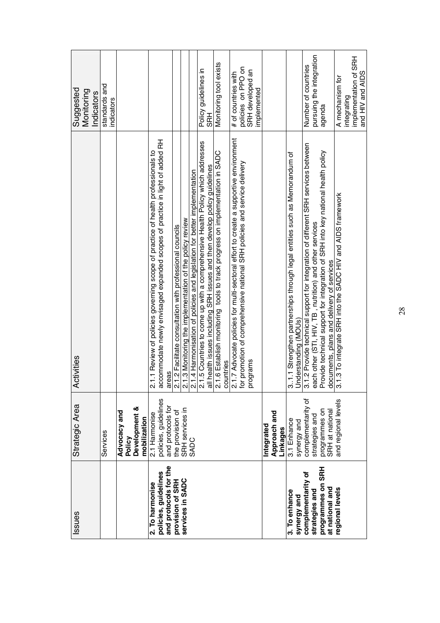| Issues                                        | Strategic Area                            | ctivities<br>₹                                                                                                                                                                                                                         | Suggested                                 |
|-----------------------------------------------|-------------------------------------------|----------------------------------------------------------------------------------------------------------------------------------------------------------------------------------------------------------------------------------------|-------------------------------------------|
|                                               |                                           |                                                                                                                                                                                                                                        | Monitoring                                |
|                                               |                                           |                                                                                                                                                                                                                                        | Indicators                                |
|                                               | Services                                  |                                                                                                                                                                                                                                        | standards and<br>indicators               |
|                                               | Advocacy and                              |                                                                                                                                                                                                                                        |                                           |
|                                               | Policy                                    |                                                                                                                                                                                                                                        |                                           |
|                                               | Development &<br>mobilization             |                                                                                                                                                                                                                                        |                                           |
| 2. To harmonise                               | 2.1 Harmonise                             | 2.1.1 Review of policies governing scope of practice of health professionals to                                                                                                                                                        |                                           |
| and protocols for the<br>policies, guidelines | policies, guidelines<br>and protocols for | accommodate newly envisaged expanded scopes of practice in light of added RH                                                                                                                                                           |                                           |
| provision of SRH                              | the provision of                          |                                                                                                                                                                                                                                        |                                           |
| services in SADC                              | SRH services in                           |                                                                                                                                                                                                                                        |                                           |
|                                               | <b>SADC</b>                               |                                                                                                                                                                                                                                        |                                           |
|                                               |                                           |                                                                                                                                                                                                                                        | Policy guidelines in                      |
|                                               |                                           |                                                                                                                                                                                                                                        | SRH                                       |
|                                               |                                           | areas<br>2.1.2 Facilitate consultation with professional councils<br>2.1.3 Monitoring the implementation of the policy review<br>2.1.3 Monitoring the implementation of the policy review<br>2.1.5 Countries to come up with a compreh | Monitoring tool exists                    |
|                                               |                                           |                                                                                                                                                                                                                                        | # of countries with                       |
|                                               |                                           |                                                                                                                                                                                                                                        | policies on PPO on                        |
|                                               |                                           | programs                                                                                                                                                                                                                               | SRH developed an<br>implemented           |
|                                               |                                           |                                                                                                                                                                                                                                        |                                           |
|                                               | Integrated                                |                                                                                                                                                                                                                                        |                                           |
|                                               | Approach and<br>Linkages                  |                                                                                                                                                                                                                                        |                                           |
| 3. To enhance                                 | 3.1 Enhance                               | 3.1.1 Strengthen partnerships through legal entities such as Memorandum of                                                                                                                                                             |                                           |
| synergy and                                   | synergy and                               |                                                                                                                                                                                                                                        |                                           |
| complementarity of                            | complementarity of                        | Understanding (MOUs)<br>3.1.2 Provide technical support for integration of different SRH services between                                                                                                                              | Number of countries                       |
| programmes on SRH<br>strategies and           | strategies and                            | each other (STI, HIV, TB , nutrition) and other services<br>Provide technical support for integration of SRH into key national health policy                                                                                           | pursuing the integration<br>agenda        |
| at national and                               | programmes on<br>SRH at national          | documents, plans and delivery of services                                                                                                                                                                                              |                                           |
| regional levels                               | and regional levels                       | 3.1.3 To integrate SRH into the SADC HIV and AIDS framework                                                                                                                                                                            | A mechanism for                           |
|                                               |                                           |                                                                                                                                                                                                                                        | integrating                               |
|                                               |                                           |                                                                                                                                                                                                                                        | implementation of SRH<br>and HIV and AIDS |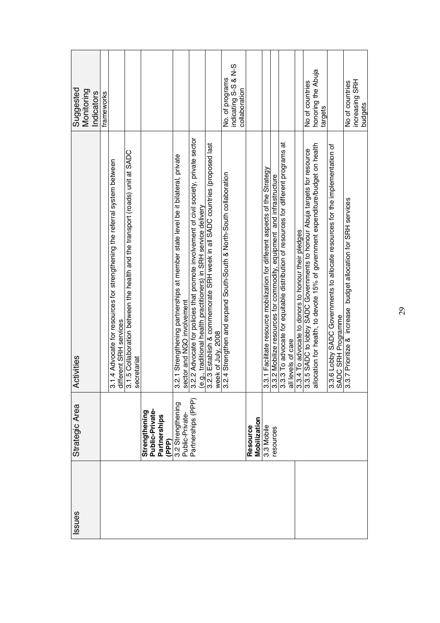| ssues | Strategic Area                       | ctivities<br>∢                                                                                                                                                                                                                          | Suggested                                                |
|-------|--------------------------------------|-----------------------------------------------------------------------------------------------------------------------------------------------------------------------------------------------------------------------------------------|----------------------------------------------------------|
|       |                                      |                                                                                                                                                                                                                                         | Monitoring<br>ndicators                                  |
|       |                                      |                                                                                                                                                                                                                                         |                                                          |
|       |                                      |                                                                                                                                                                                                                                         | frameworks                                               |
|       |                                      | 3.1.4 Advocate for resources for strengthening the referral system between                                                                                                                                                              |                                                          |
|       |                                      | different SRH services<br>3.1.5 Collaboration between the health and the transport (roads) unit at SADC                                                                                                                                 |                                                          |
|       |                                      | secretariat                                                                                                                                                                                                                             |                                                          |
|       | Strengthening                        |                                                                                                                                                                                                                                         |                                                          |
|       | Public-Private-                      |                                                                                                                                                                                                                                         |                                                          |
|       | Partnerships<br>(PPP)                |                                                                                                                                                                                                                                         |                                                          |
|       | 3.2 Strengthening<br>Public-Private- | 3.2.1 Strengthening partnerships at member state level be it bilateral, private                                                                                                                                                         |                                                          |
|       | Partnerships (PPP)                   | sector and NGO involvement<br>3.2.2 Advocate for policies that promote involvement of civil society, private sector                                                                                                                     |                                                          |
|       |                                      | (e.g., traditional health practitioners) in SRH service delivery                                                                                                                                                                        |                                                          |
|       |                                      | 3.2.3 Establish & commemorate SRH week in all SADC countries (proposed last                                                                                                                                                             |                                                          |
|       |                                      | week of July, 2008<br>3.2.4 Strengthen and expand South-South & North-South collaboration                                                                                                                                               | indicating S-S & N-S<br>No. of programs<br>collaboration |
|       | <b>Resource</b>                      |                                                                                                                                                                                                                                         |                                                          |
|       | Mobilization                         |                                                                                                                                                                                                                                         |                                                          |
|       | 3.3 Mobile                           | 3.3.1 Facilitate resource mobilization for different aspects of the Strategy                                                                                                                                                            |                                                          |
|       | resources                            |                                                                                                                                                                                                                                         |                                                          |
|       |                                      | 3.3.2 Mobilize resources for commodity, equipment and infrastructure<br>3.3.3 To advocate for equitable distribution of resources for different programs at<br>all levels of care<br>3.3.4 To advocate to donors to honour their pledge |                                                          |
|       |                                      |                                                                                                                                                                                                                                         |                                                          |
|       |                                      |                                                                                                                                                                                                                                         | No of countries                                          |
|       |                                      |                                                                                                                                                                                                                                         | honoring the Abuja<br>targets                            |
|       |                                      | 3.3.6 Lobby SADC Governments to allocate resources for the implementation of<br>SADC SRH Programme<br>3.3.7 Prioritize & increase budget allocation for SRH services                                                                    |                                                          |
|       |                                      |                                                                                                                                                                                                                                         | No of countries                                          |
|       |                                      |                                                                                                                                                                                                                                         | increasing SRH<br>budgets                                |
|       |                                      |                                                                                                                                                                                                                                         |                                                          |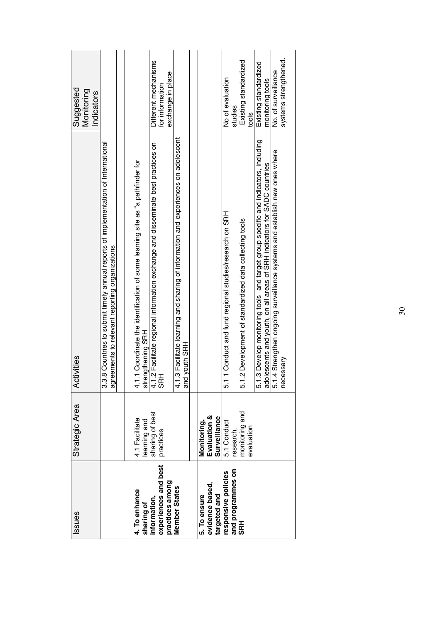| Issues                                          | Strategic Area                              | ctivities<br>₹                                                                                                                                                 | Suggested<br>Monitoring<br>Indicators        |
|-------------------------------------------------|---------------------------------------------|----------------------------------------------------------------------------------------------------------------------------------------------------------------|----------------------------------------------|
|                                                 |                                             | 3.3.8 Countries to submit timely annual reports of implementation of International<br>agreements to relevant reporting organizations                           |                                              |
|                                                 |                                             |                                                                                                                                                                |                                              |
| 4. To enhance<br>sharing of                     | 4.1 Facilitate<br>learning and              | 4.1.1 Coordinate the identification of some learning site as "a pathfinder for<br>strengthening SRH                                                            |                                              |
| information,                                    | sharing of best                             | 4.1.2 Facilitate regional information exchange and disseminate best practices on<br>SRH                                                                        | Different mechanisms                         |
| experiences and best<br>practices among         | practices                                   |                                                                                                                                                                | exchange in place<br>for information         |
| Member States                                   |                                             | 4.1.3 Facilitate learning and sharing of information and experiences on adolescent<br>and youth SRH                                                            |                                              |
|                                                 |                                             |                                                                                                                                                                |                                              |
| 5. To ensure<br>evidence based,<br>targeted and | Evaluation &<br>Surveillance<br>Monitoring, |                                                                                                                                                                |                                              |
| and programmes on<br>responsive policies        | 5.1 Conduct<br>research,                    | 5.11 Conduct and fund regional studies/research on SRH                                                                                                         | No of evaluation<br>studies                  |
| <b>SRH</b>                                      | monitoring and<br>evaluation                | 1.2 Development of standardized data collecting tools<br>ιó                                                                                                    | Existing standardized<br>tools               |
|                                                 |                                             | 5.1.3 Develop monitoring tools and target group specific and indicators, including<br>adolescents and youth, on all areas of SRH indicators for SADC countries | Existing standardized<br>monitoring tools    |
|                                                 |                                             | 5.1.4 Strengthen ongoing surveillance systems and establish new ones where<br>necessary                                                                        | systems strengthened.<br>No. of surveillance |
|                                                 |                                             |                                                                                                                                                                |                                              |

30